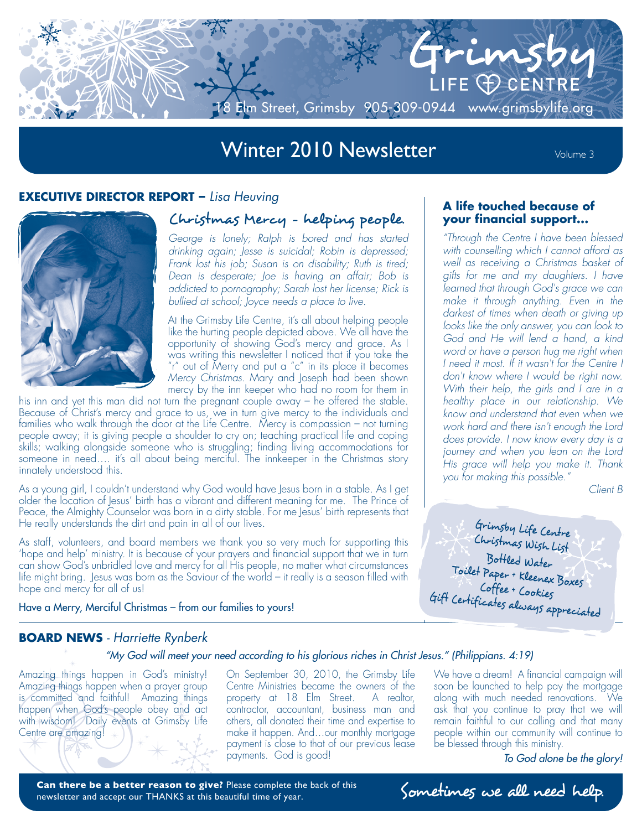

# Winter 2010 Newsletter Volume 3

#### **EXECUTIVE DIRECTOR REPORT –** *Lisa Heuving*



## Christmas Mercy - helping people.

*George is lonely; Ralph is bored and has started drinking again; Jesse is suicidal; Robin is depressed; Frank lost his job; Susan is on disability; Ruth is tired; Dean is desperate; Joe is having an affair; Bob is addicted to pornography; Sarah lost her license; Rick is bullied at school; Joyce needs a place to live.*

At the Grimsby Life Centre, it's all about helping people like the hurting people depicted above. We all have the opportunity of showing God's mercy and grace. As I was writing this newsletter I noticed that if you take the "r" out of Merry and put a "c" in its place it becomes *Mercy Christmas*. Mary and Joseph had been shown mercy by the inn keeper who had no room for them in

his inn and yet this man did not turn the pregnant couple away – he offered the stable. Because of Christ's mercy and grace to us, we in turn give mercy to the individuals and families who walk through the door at the Life Centre. Mercy is compassion – not turning people away; it is giving people a shoulder to cry on; teaching practical life and coping skills; walking alongside someone who is struggling; finding living accommodations for someone in need…. it's all about being merciful. The innkeeper in the Christmas story innately understood this.

As a young girl, I couldn't understand why God would have Jesus born in a stable. As I get older the location of Jesus' birth has a vibrant and different meaning for me. The Prince of Peace, the Almighty Counselor was born in a dirty stable. For me Jesus' birth represents that He really understands the dirt and pain in all of our lives.

As staff, volunteers, and board members we thank you so very much for supporting this 'hope and help' ministry. It is because of your prayers and financial support that we in turn can show God's unbridled love and mercy for all His people, no matter what circumstances life might bring. Jesus was born as the Saviour of the world – it really is a season filled with hope and mercy for all of us!

Have a Merry, Merciful Christmas – from our families to yours!

#### **A life touched because of your financial support...**

*"Through the Centre I have been blessed with counselling which I cannot afford as well as receiving a Christmas basket of gifts for me and my daughters. I have learned that through God's grace we can make it through anything. Even in the darkest of times when death or giving up looks like the only answer, you can look to God and He will lend a hand, a kind word or have a person hug me right when I need it most. If it wasn't for the Centre I don't know where I would be right now. With their help, the girls and I are in a healthy place in our relationship. We know and understand that even when we work hard and there isn't enough the Lord does provide. I now know every day is a journey and when you lean on the Lord His grace will help you make it. Thank you for making this possible."* 

*Client B*

Grimsby Life Centre Christmas Wish List Bottled Water Toilet Paper + Kleenex Boxes Coffee + Cookies Gift Certificates always appreciated

#### **BOARD NEWS** *- Harriette Rynberk*

#### *"My God will meet your need according to his glorious riches in Christ Jesus." (Philippians. 4:19)*

Amazing things happen in God's ministry! Amazing things happen when a prayer group is committed and faithful! Amazing things happen when God's people obey and act with wisdom! Daily events at Grimsby Life Centre are amazing!

On September 30, 2010, the Grimsby Life Centre Ministries became the owners of the property at 18 Elm Street. A realtor, contractor, accountant, business man and others, all donated their time and expertise to make it happen. And…our monthly mortgage payment is close to that of our previous lease payments. God is good!

We have a dream! A financial campaign will soon be launched to help pay the mortgage along with much needed renovations. We ask that you continue to pray that we will remain faithful to our calling and that many people within our community will continue to be blessed through this ministry.

*To God alone be the glory!*

Can there be a better reason to give? Please complete the back of this **Sometimes** we all need help. newsletter and accept our THANKS at this beautiful time of year.